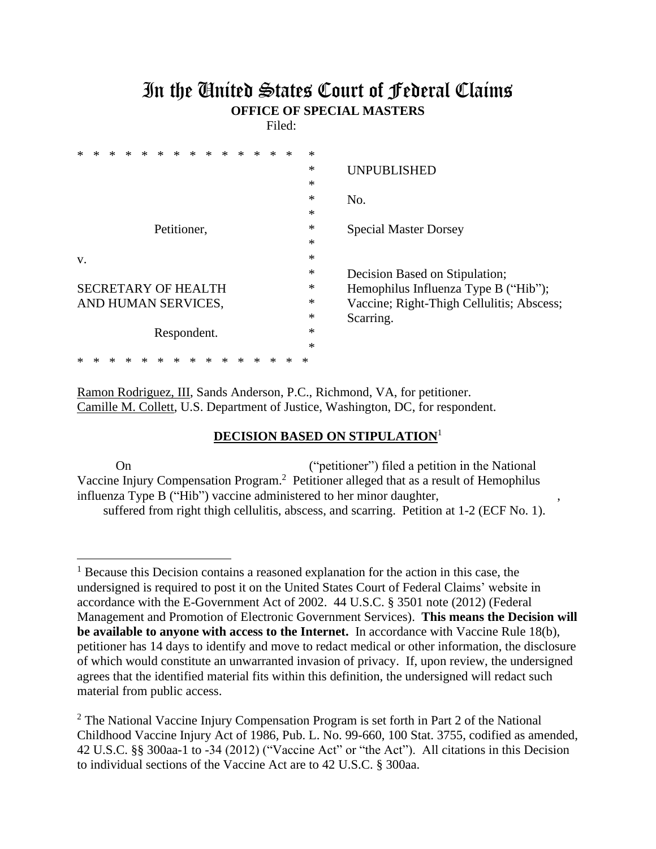## In the United States Court of Federal Claims **OFFICE OF SPECIAL MASTERS**

Filed:

| *<br>*<br>∗<br>∗<br>*<br>ж | * |  |   | * | $\ast$                                    |                                      |
|----------------------------|---|--|---|---|-------------------------------------------|--------------------------------------|
|                            |   |  |   |   | ∗                                         | <b>UNPUBLISHED</b>                   |
|                            |   |  |   |   | ∗                                         |                                      |
|                            |   |  |   |   | $\ast$                                    | No.                                  |
|                            |   |  |   |   | $\ast$                                    |                                      |
| Petitioner,                |   |  |   |   | $\ast$                                    | <b>Special Master Dorsey</b>         |
|                            |   |  |   |   | $\ast$                                    |                                      |
| V.                         |   |  |   |   | $\ast$                                    |                                      |
|                            |   |  |   |   | ∗                                         | Decision Based on Stipulation;       |
| <b>SECRETARY OF HEALTH</b> |   |  |   |   | ∗                                         | Hemophilus Influenza Type B ("Hib"); |
| AND HUMAN SERVICES,        |   |  |   | ∗ | Vaccine; Right-Thigh Cellulitis; Abscess; |                                      |
|                            |   |  |   |   | $\ast$                                    | Scarring.                            |
| Respondent.                |   |  |   |   | ∗                                         |                                      |
|                            |   |  |   |   | $\ast$                                    |                                      |
| ∗<br>×<br>ж<br>∗<br>×<br>∗ | ж |  | ж | ж | ∗                                         |                                      |

Ramon Rodriguez, III, Sands Anderson, P.C., Richmond, VA, for petitioner. Camille M. Collett, U.S. Department of Justice, Washington, DC, for respondent.

## **DECISION BASED ON STIPULATION**<sup>1</sup>

On ("petitioner") filed a petition in the National Vaccine Injury Compensation Program.<sup>2</sup> Petitioner alleged that as a result of Hemophilus influenza Type B ("Hib") vaccine administered to her minor daughter, , suffered from right thigh cellulitis, abscess, and scarring. Petition at 1-2 (ECF No. 1).

<sup>&</sup>lt;sup>1</sup> Because this Decision contains a reasoned explanation for the action in this case, the undersigned is required to post it on the United States Court of Federal Claims' website in accordance with the E-Government Act of 2002. 44 U.S.C. § 3501 note (2012) (Federal Management and Promotion of Electronic Government Services). **This means the Decision will be available to anyone with access to the Internet.** In accordance with Vaccine Rule 18(b), petitioner has 14 days to identify and move to redact medical or other information, the disclosure of which would constitute an unwarranted invasion of privacy. If, upon review, the undersigned agrees that the identified material fits within this definition, the undersigned will redact such material from public access.

 $2$  The National Vaccine Injury Compensation Program is set forth in Part 2 of the National Childhood Vaccine Injury Act of 1986, Pub. L. No. 99-660, 100 Stat. 3755, codified as amended, 42 U.S.C. §§ 300aa-1 to -34 (2012) ("Vaccine Act" or "the Act"). All citations in this Decision to individual sections of the Vaccine Act are to 42 U.S.C. § 300aa.